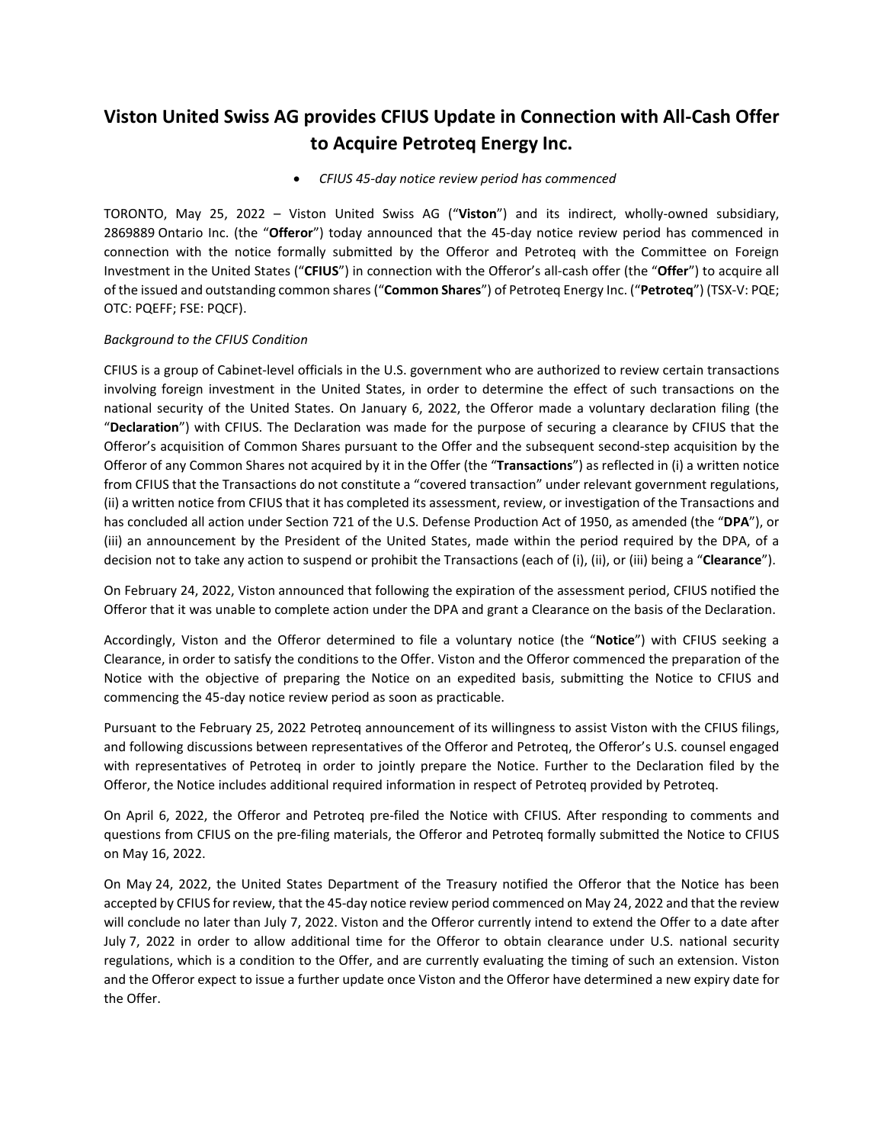# **Viston United Swiss AG provides CFIUS Update in Connection with All-Cash Offer to Acquire Petroteq Energy Inc.**

• *CFIUS 45-day notice review period has commenced*

TORONTO, May 25, 2022 – Viston United Swiss AG ("**Viston**") and its indirect, wholly-owned subsidiary, 2869889 Ontario Inc. (the "**Offeror**") today announced that the 45-day notice review period has commenced in connection with the notice formally submitted by the Offeror and Petroteq with the Committee on Foreign Investment in the United States ("**CFIUS**") in connection with the Offeror's all-cash offer (the "**Offer**") to acquire all of the issued and outstanding common shares ("**Common Shares**") of Petroteq Energy Inc. ("**Petroteq**") (TSX-V: PQE; OTC: PQEFF; FSE: PQCF).

## *Background to the CFIUS Condition*

CFIUS is a group of Cabinet-level officials in the U.S. government who are authorized to review certain transactions involving foreign investment in the United States, in order to determine the effect of such transactions on the national security of the United States. On January 6, 2022, the Offeror made a voluntary declaration filing (the "**Declaration**") with CFIUS. The Declaration was made for the purpose of securing a clearance by CFIUS that the Offeror's acquisition of Common Shares pursuant to the Offer and the subsequent second-step acquisition by the Offeror of any Common Shares not acquired by it in the Offer (the "**Transactions**") as reflected in (i) a written notice from CFIUS that the Transactions do not constitute a "covered transaction" under relevant government regulations, (ii) a written notice from CFIUS that it has completed its assessment, review, or investigation of the Transactions and has concluded all action under Section 721 of the U.S. Defense Production Act of 1950, as amended (the "**DPA**"), or (iii) an announcement by the President of the United States, made within the period required by the DPA, of a decision not to take any action to suspend or prohibit the Transactions (each of (i), (ii), or (iii) being a "**Clearance**").

On February 24, 2022, Viston announced that following the expiration of the assessment period, CFIUS notified the Offeror that it was unable to complete action under the DPA and grant a Clearance on the basis of the Declaration.

Accordingly, Viston and the Offeror determined to file a voluntary notice (the "**Notice**") with CFIUS seeking a Clearance, in order to satisfy the conditions to the Offer. Viston and the Offeror commenced the preparation of the Notice with the objective of preparing the Notice on an expedited basis, submitting the Notice to CFIUS and commencing the 45-day notice review period as soon as practicable.

Pursuant to the February 25, 2022 Petroteq announcement of its willingness to assist Viston with the CFIUS filings, and following discussions between representatives of the Offeror and Petroteq, the Offeror's U.S. counsel engaged with representatives of Petroteq in order to jointly prepare the Notice. Further to the Declaration filed by the Offeror, the Notice includes additional required information in respect of Petroteq provided by Petroteq.

On April 6, 2022, the Offeror and Petroteq pre-filed the Notice with CFIUS. After responding to comments and questions from CFIUS on the pre-filing materials, the Offeror and Petroteq formally submitted the Notice to CFIUS on May 16, 2022.

On May 24, 2022, the United States Department of the Treasury notified the Offeror that the Notice has been accepted by CFIUS for review, that the 45-day notice review period commenced on May 24, 2022 and that the review will conclude no later than July 7, 2022. Viston and the Offeror currently intend to extend the Offer to a date after July 7, 2022 in order to allow additional time for the Offeror to obtain clearance under U.S. national security regulations, which is a condition to the Offer, and are currently evaluating the timing of such an extension. Viston and the Offeror expect to issue a further update once Viston and the Offeror have determined a new expiry date for the Offer.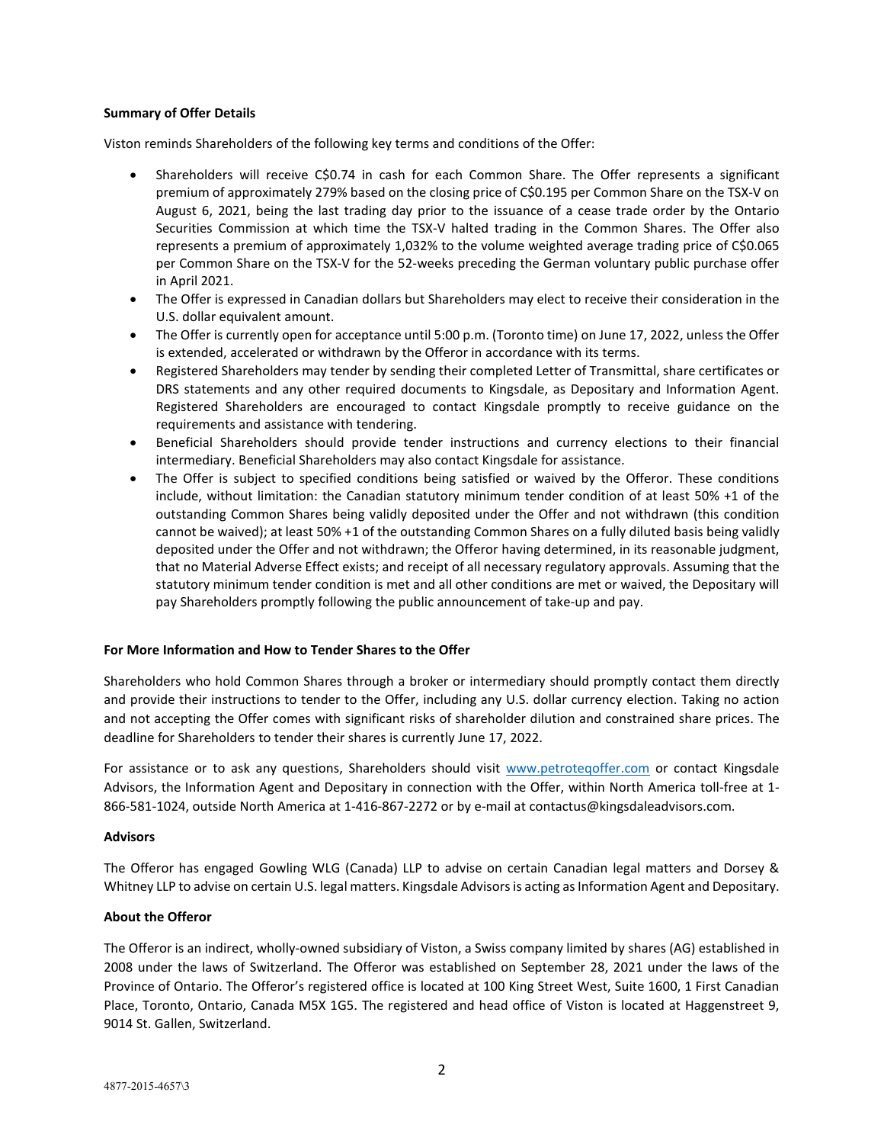#### **Summary of Offer Details**

Viston reminds Shareholders of the following key terms and conditions of the Offer:

- Shareholders will receive C\$0.74 in cash for each Common Share. The Offer represents a significant premium of approximately 279% based on the closing price of C\$0.195 per Common Share on the TSX-V on August 6, 2021, being the last trading day prior to the issuance of a cease trade order by the Ontario Securities Commission at which time the TSX-V halted trading in the Common Shares. The Offer also represents a premium of approximately 1,032% to the volume weighted average trading price of C\$0.065 per Common Share on the TSX-V for the 52-weeks preceding the German voluntary public purchase offer in April 2021.
- The Offer is expressed in Canadian dollars but Shareholders may elect to receive their consideration in the U.S. dollar equivalent amount.
- The Offer is currently open for acceptance until 5:00 p.m. (Toronto time) on June 17, 2022, unless the Offer is extended, accelerated or withdrawn by the Offeror in accordance with its terms.
- Registered Shareholders may tender by sending their completed Letter of Transmittal, share certificates or DRS statements and any other required documents to Kingsdale, as Depositary and Information Agent. Registered Shareholders are encouraged to contact Kingsdale promptly to receive guidance on the requirements and assistance with tendering.
- Beneficial Shareholders should provide tender instructions and currency elections to their financial intermediary. Beneficial Shareholders may also contact Kingsdale for assistance.
- The Offer is subject to specified conditions being satisfied or waived by the Offeror. These conditions include, without limitation: the Canadian statutory minimum tender condition of at least 50% +1 of the outstanding Common Shares being validly deposited under the Offer and not withdrawn (this condition cannot be waived); at least 50% +1 of the outstanding Common Shares on a fully diluted basis being validly deposited under the Offer and not withdrawn; the Offeror having determined, in its reasonable judgment, that no Material Adverse Effect exists; and receipt of all necessary regulatory approvals. Assuming that the statutory minimum tender condition is met and all other conditions are met or waived, the Depositary will pay Shareholders promptly following the public announcement of take-up and pay.

#### **For More Information and How to Tender Shares to the Offer**

Shareholders who hold Common Shares through a broker or intermediary should promptly contact them directly and provide their instructions to tender to the Offer, including any U.S. dollar currency election. Taking no action and not accepting the Offer comes with significant risks of shareholder dilution and constrained share prices. The deadline for Shareholders to tender their shares is currently June 17, 2022.

For assistance or to ask any questions, Shareholders should visit www.petrotegoffer.com or contact Kingsdale Advisors, the Information Agent and Depositary in connection with the Offer, within North America toll-free at 1- 866-581-1024, outside North America at 1-416-867-2272 or by e-mail at [contactus@kingsdaleadvisors.com.](mailto:contactus@kingsdaleadvisors.com)

#### **Advisors**

The Offeror has engaged Gowling WLG (Canada) LLP to advise on certain Canadian legal matters and Dorsey & Whitney LLP to advise on certain U.S. legal matters. Kingsdale Advisors is acting as Information Agent and Depositary.

## **About the Offeror**

The Offeror is an indirect, wholly-owned subsidiary of Viston, a Swiss company limited by shares (AG) established in 2008 under the laws of Switzerland. The Offeror was established on September 28, 2021 under the laws of the Province of Ontario. The Offeror's registered office is located at 100 King Street West, Suite 1600, 1 First Canadian Place, Toronto, Ontario, Canada M5X 1G5. The registered and head office of Viston is located at Haggenstreet 9, 9014 St. Gallen, Switzerland.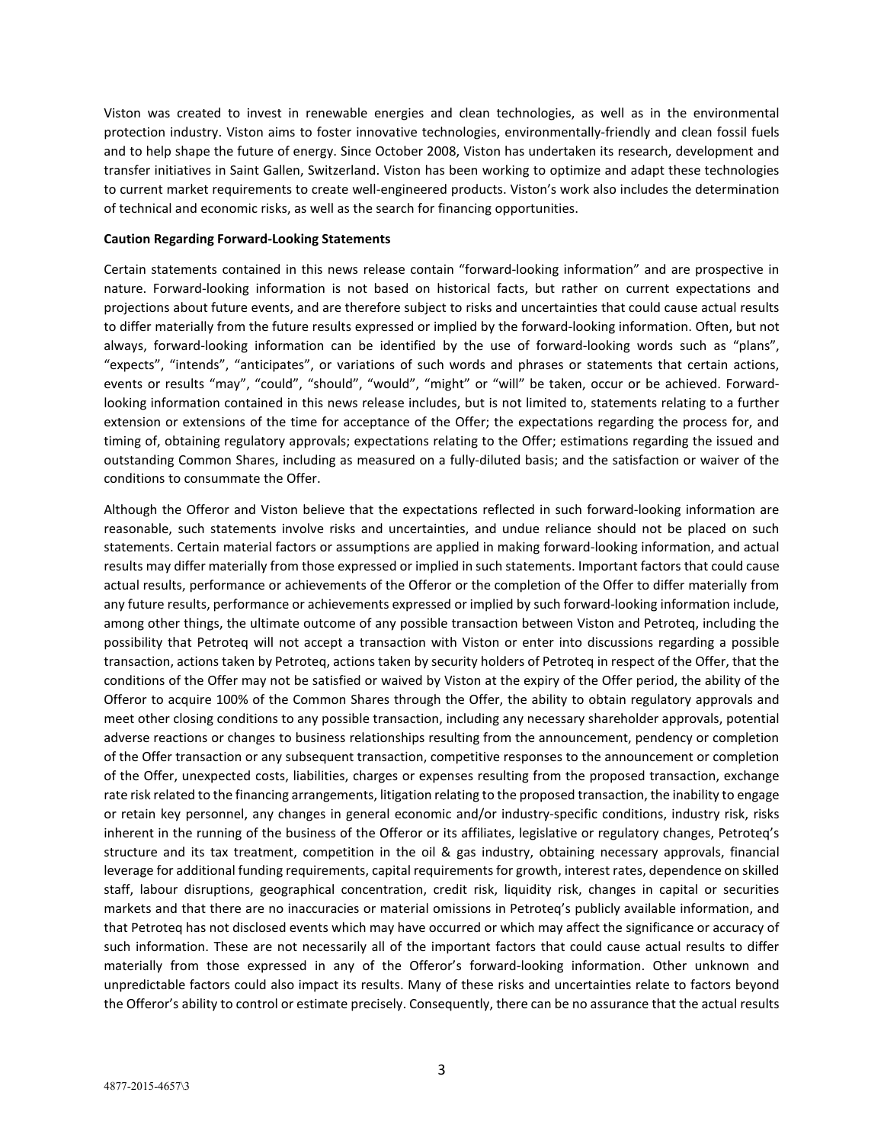Viston was created to invest in renewable energies and clean technologies, as well as in the environmental protection industry. Viston aims to foster innovative technologies, environmentally-friendly and clean fossil fuels and to help shape the future of energy. Since October 2008, Viston has undertaken its research, development and transfer initiatives in Saint Gallen, Switzerland. Viston has been working to optimize and adapt these technologies to current market requirements to create well-engineered products. Viston's work also includes the determination of technical and economic risks, as well as the search for financing opportunities.

#### **Caution Regarding Forward-Looking Statements**

Certain statements contained in this news release contain "forward-looking information" and are prospective in nature. Forward-looking information is not based on historical facts, but rather on current expectations and projections about future events, and are therefore subject to risks and uncertainties that could cause actual results to differ materially from the future results expressed or implied by the forward-looking information. Often, but not always, forward-looking information can be identified by the use of forward-looking words such as "plans", "expects", "intends", "anticipates", or variations of such words and phrases or statements that certain actions, events or results "may", "could", "should", "would", "might" or "will" be taken, occur or be achieved. Forwardlooking information contained in this news release includes, but is not limited to, statements relating to a further extension or extensions of the time for acceptance of the Offer; the expectations regarding the process for, and timing of, obtaining regulatory approvals; expectations relating to the Offer; estimations regarding the issued and outstanding Common Shares, including as measured on a fully-diluted basis; and the satisfaction or waiver of the conditions to consummate the Offer.

Although the Offeror and Viston believe that the expectations reflected in such forward-looking information are reasonable, such statements involve risks and uncertainties, and undue reliance should not be placed on such statements. Certain material factors or assumptions are applied in making forward-looking information, and actual results may differ materially from those expressed or implied in such statements. Important factors that could cause actual results, performance or achievements of the Offeror or the completion of the Offer to differ materially from any future results, performance or achievements expressed or implied by such forward-looking information include, among other things, the ultimate outcome of any possible transaction between Viston and Petroteq, including the possibility that Petroteq will not accept a transaction with Viston or enter into discussions regarding a possible transaction, actions taken by Petroteq, actions taken by security holders of Petroteq in respect of the Offer, that the conditions of the Offer may not be satisfied or waived by Viston at the expiry of the Offer period, the ability of the Offeror to acquire 100% of the Common Shares through the Offer, the ability to obtain regulatory approvals and meet other closing conditions to any possible transaction, including any necessary shareholder approvals, potential adverse reactions or changes to business relationships resulting from the announcement, pendency or completion of the Offer transaction or any subsequent transaction, competitive responses to the announcement or completion of the Offer, unexpected costs, liabilities, charges or expenses resulting from the proposed transaction, exchange rate risk related to the financing arrangements, litigation relating to the proposed transaction, the inability to engage or retain key personnel, any changes in general economic and/or industry-specific conditions, industry risk, risks inherent in the running of the business of the Offeror or its affiliates, legislative or regulatory changes, Petroteq's structure and its tax treatment, competition in the oil & gas industry, obtaining necessary approvals, financial leverage for additional funding requirements, capital requirements for growth, interest rates, dependence on skilled staff, labour disruptions, geographical concentration, credit risk, liquidity risk, changes in capital or securities markets and that there are no inaccuracies or material omissions in Petroteq's publicly available information, and that Petroteq has not disclosed events which may have occurred or which may affect the significance or accuracy of such information. These are not necessarily all of the important factors that could cause actual results to differ materially from those expressed in any of the Offeror's forward-looking information. Other unknown and unpredictable factors could also impact its results. Many of these risks and uncertainties relate to factors beyond the Offeror's ability to control or estimate precisely. Consequently, there can be no assurance that the actual results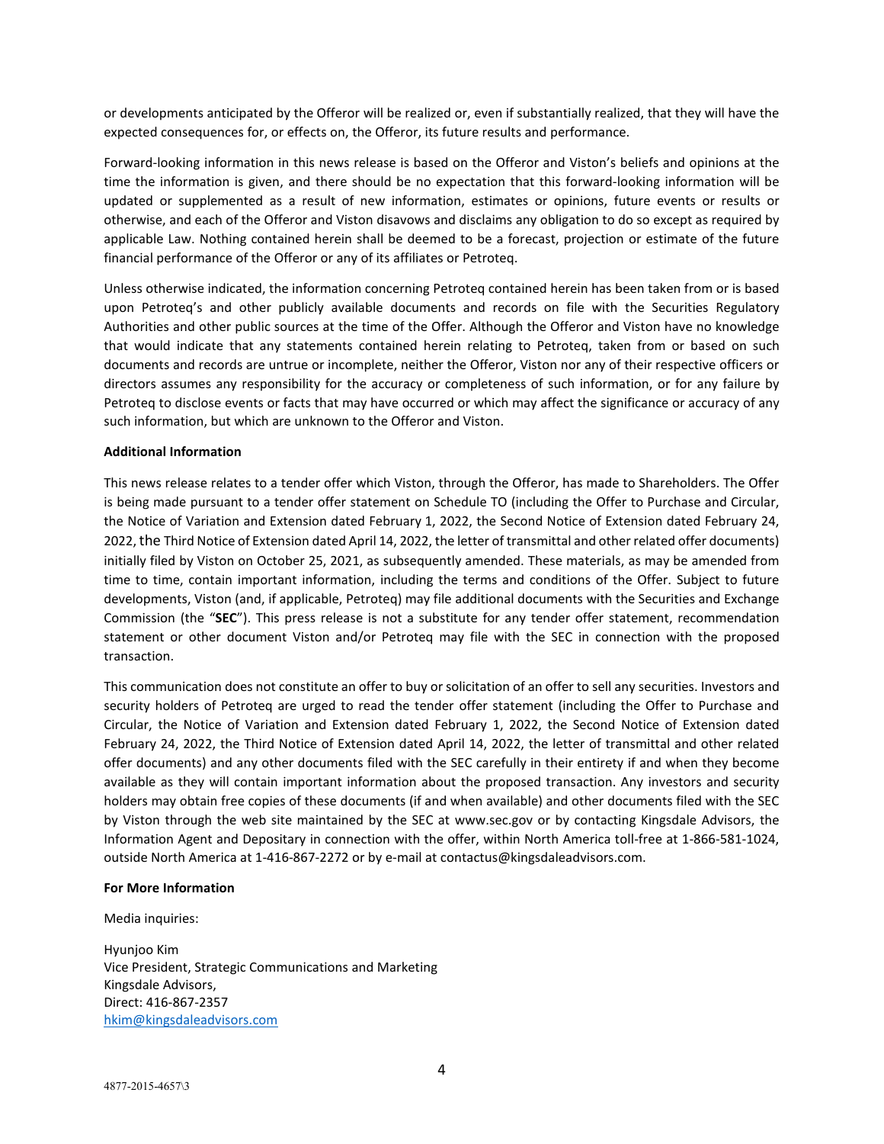or developments anticipated by the Offeror will be realized or, even if substantially realized, that they will have the expected consequences for, or effects on, the Offeror, its future results and performance.

Forward-looking information in this news release is based on the Offeror and Viston's beliefs and opinions at the time the information is given, and there should be no expectation that this forward-looking information will be updated or supplemented as a result of new information, estimates or opinions, future events or results or otherwise, and each of the Offeror and Viston disavows and disclaims any obligation to do so except as required by applicable Law. Nothing contained herein shall be deemed to be a forecast, projection or estimate of the future financial performance of the Offeror or any of its affiliates or Petroteq.

Unless otherwise indicated, the information concerning Petroteq contained herein has been taken from or is based upon Petroteq's and other publicly available documents and records on file with the Securities Regulatory Authorities and other public sources at the time of the Offer. Although the Offeror and Viston have no knowledge that would indicate that any statements contained herein relating to Petroteq, taken from or based on such documents and records are untrue or incomplete, neither the Offeror, Viston nor any of their respective officers or directors assumes any responsibility for the accuracy or completeness of such information, or for any failure by Petroteq to disclose events or facts that may have occurred or which may affect the significance or accuracy of any such information, but which are unknown to the Offeror and Viston.

### **Additional Information**

This news release relates to a tender offer which Viston, through the Offeror, has made to Shareholders. The Offer is being made pursuant to a tender offer statement on Schedule TO (including the Offer to Purchase and Circular, the Notice of Variation and Extension dated February 1, 2022, the Second Notice of Extension dated February 24, 2022, the Third Notice of Extension dated April 14, 2022, the letter of transmittal and other related offer documents) initially filed by Viston on October 25, 2021, as subsequently amended. These materials, as may be amended from time to time, contain important information, including the terms and conditions of the Offer. Subject to future developments, Viston (and, if applicable, Petroteq) may file additional documents with the Securities and Exchange Commission (the "**SEC**"). This press release is not a substitute for any tender offer statement, recommendation statement or other document Viston and/or Petroteq may file with the SEC in connection with the proposed transaction.

This communication does not constitute an offer to buy or solicitation of an offer to sell any securities. Investors and security holders of Petroteq are urged to read the tender offer statement (including the Offer to Purchase and Circular, the Notice of Variation and Extension dated February 1, 2022, the Second Notice of Extension dated February 24, 2022, the Third Notice of Extension dated April 14, 2022, the letter of transmittal and other related offer documents) and any other documents filed with the SEC carefully in their entirety if and when they become available as they will contain important information about the proposed transaction. Any investors and security holders may obtain free copies of these documents (if and when available) and other documents filed with the SEC by Viston through the web site maintained by the SEC at www.sec.gov or by contacting Kingsdale Advisors, the Information Agent and Depositary in connection with the offer, within North America toll-free at 1-866-581-1024, outside North America at 1-416-867-2272 or by e-mail at contactus@kingsdaleadvisors.com.

#### **For More Information**

Media inquiries:

Hyunjoo Kim Vice President, Strategic Communications and Marketing Kingsdale Advisors, Direct: 416-867-2357 [hkim@kingsdaleadvisors.com](mailto:hkim@kingsdaleadvisors.com)